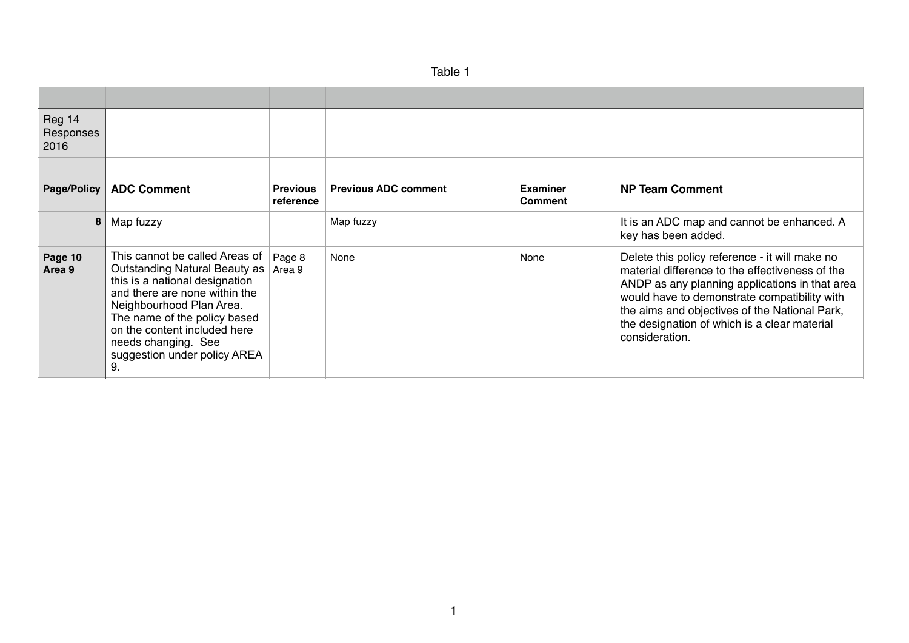| Table |  |
|-------|--|
|-------|--|

| Reg 14<br>Responses<br>2016 |                                                                                                                                                                                                                                                                                                    |                              |                             |                                   |                                                                                                                                                                                                                                                                                                                        |
|-----------------------------|----------------------------------------------------------------------------------------------------------------------------------------------------------------------------------------------------------------------------------------------------------------------------------------------------|------------------------------|-----------------------------|-----------------------------------|------------------------------------------------------------------------------------------------------------------------------------------------------------------------------------------------------------------------------------------------------------------------------------------------------------------------|
|                             |                                                                                                                                                                                                                                                                                                    |                              |                             |                                   |                                                                                                                                                                                                                                                                                                                        |
| Page/Policy                 | <b>ADC Comment</b>                                                                                                                                                                                                                                                                                 | <b>Previous</b><br>reference | <b>Previous ADC comment</b> | <b>Examiner</b><br><b>Comment</b> | <b>NP Team Comment</b>                                                                                                                                                                                                                                                                                                 |
| 8                           | Map fuzzy                                                                                                                                                                                                                                                                                          |                              | Map fuzzy                   |                                   | It is an ADC map and cannot be enhanced. A<br>key has been added.                                                                                                                                                                                                                                                      |
| Page 10<br>Area 9           | This cannot be called Areas of<br><b>Outstanding Natural Beauty as</b><br>this is a national designation<br>and there are none within the<br>Neighbourhood Plan Area.<br>The name of the policy based<br>on the content included here<br>needs changing. See<br>suggestion under policy AREA<br>9. | Page 8<br>Area 9             | None                        | None                              | Delete this policy reference - it will make no<br>material difference to the effectiveness of the<br>ANDP as any planning applications in that area<br>would have to demonstrate compatibility with<br>the aims and objectives of the National Park,<br>the designation of which is a clear material<br>consideration. |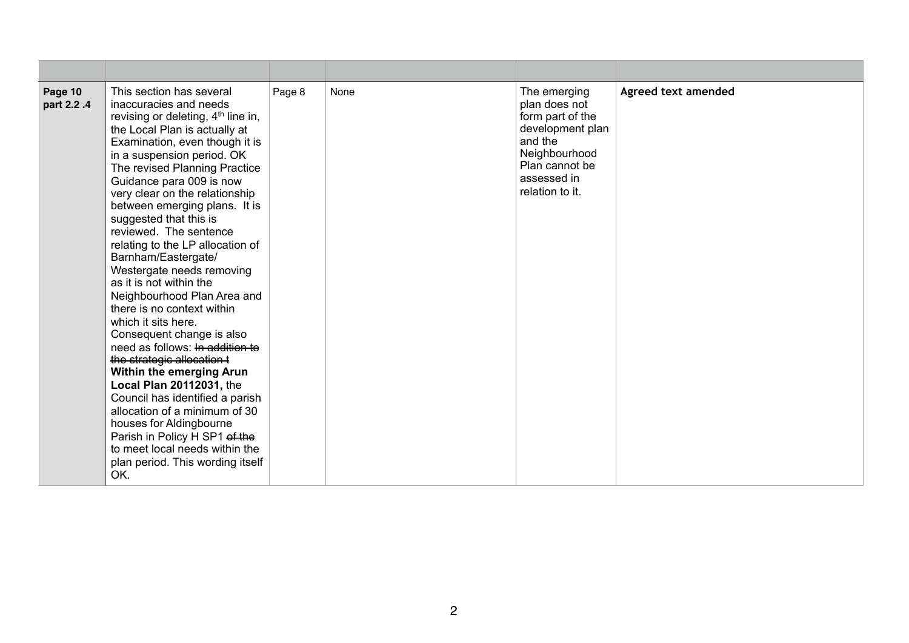| Page 10<br>part 2.2.4 | This section has several<br>inaccuracies and needs<br>revising or deleting, 4 <sup>th</sup> line in,<br>the Local Plan is actually at<br>Examination, even though it is<br>in a suspension period. OK<br>The revised Planning Practice<br>Guidance para 009 is now<br>very clear on the relationship<br>between emerging plans. It is<br>suggested that this is<br>reviewed. The sentence<br>relating to the LP allocation of<br>Barnham/Eastergate/<br>Westergate needs removing<br>as it is not within the<br>Neighbourhood Plan Area and<br>there is no context within<br>which it sits here.<br>Consequent change is also<br>need as follows: In addition to<br>the strategic allocation t<br>Within the emerging Arun<br>Local Plan 20112031, the<br>Council has identified a parish<br>allocation of a minimum of 30<br>houses for Aldingbourne<br>Parish in Policy H SP1 of the<br>to meet local needs within the<br>plan period. This wording itself<br>OK. | Page 8 | None | The emerging<br>plan does not<br>form part of the<br>development plan<br>and the<br>Neighbourhood<br>Plan cannot be<br>assessed in<br>relation to it. | Agreed text amended |
|-----------------------|---------------------------------------------------------------------------------------------------------------------------------------------------------------------------------------------------------------------------------------------------------------------------------------------------------------------------------------------------------------------------------------------------------------------------------------------------------------------------------------------------------------------------------------------------------------------------------------------------------------------------------------------------------------------------------------------------------------------------------------------------------------------------------------------------------------------------------------------------------------------------------------------------------------------------------------------------------------------|--------|------|-------------------------------------------------------------------------------------------------------------------------------------------------------|---------------------|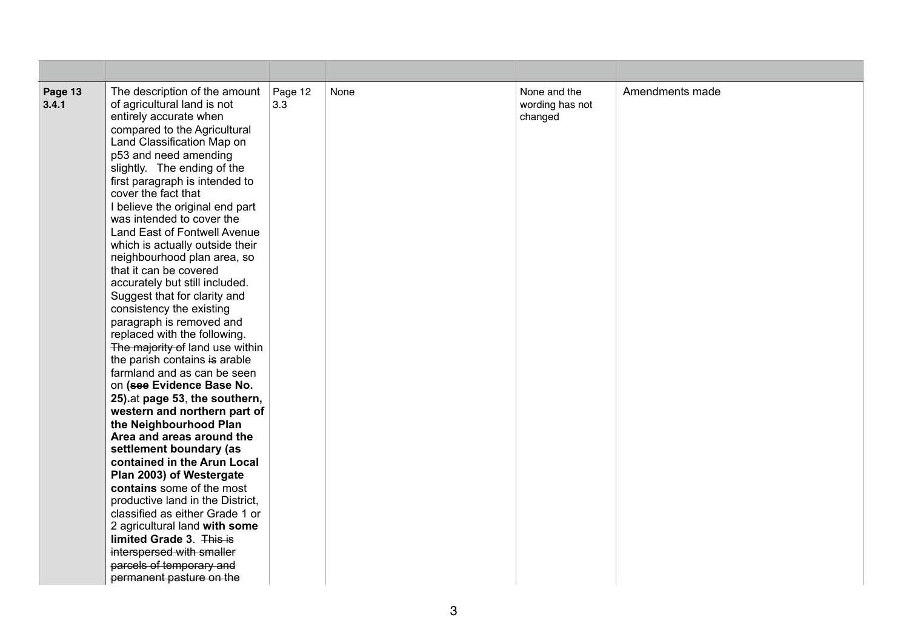| Page 13<br>3.4.1 | The description of the amount<br>of agricultural land is not<br>entirely accurate when<br>compared to the Agricultural<br>Land Classification Map on<br>p53 and need amending<br>slightly. The ending of the<br>first paragraph is intended to<br>cover the fact that<br>I believe the original end part<br>was intended to cover the<br>Land East of Fontwell Avenue<br>which is actually outside their<br>neighbourhood plan area, so<br>that it can be covered<br>accurately but still included.<br>Suggest that for clarity and<br>consistency the existing<br>paragraph is removed and<br>replaced with the following.<br>The majority of land use within<br>the parish contains is arable<br>farmland and as can be seen<br>on (see Evidence Base No.<br>25) at page 53, the southern,<br>western and northern part of<br>the Neighbourhood Plan<br>Area and areas around the<br>settlement boundary (as<br>contained in the Arun Local<br>Plan 2003) of Westergate<br>contains some of the most<br>productive land in the District,<br>classified as either Grade 1 or<br>2 agricultural land with some<br>limited Grade 3. This is<br>interspersed with smaller<br>parcels of temporary and<br>permanent pasture on the | Page 12<br>3.3 | None | None and the<br>wording has not<br>changed | Amendments made |
|------------------|---------------------------------------------------------------------------------------------------------------------------------------------------------------------------------------------------------------------------------------------------------------------------------------------------------------------------------------------------------------------------------------------------------------------------------------------------------------------------------------------------------------------------------------------------------------------------------------------------------------------------------------------------------------------------------------------------------------------------------------------------------------------------------------------------------------------------------------------------------------------------------------------------------------------------------------------------------------------------------------------------------------------------------------------------------------------------------------------------------------------------------------------------------------------------------------------------------------------------------|----------------|------|--------------------------------------------|-----------------|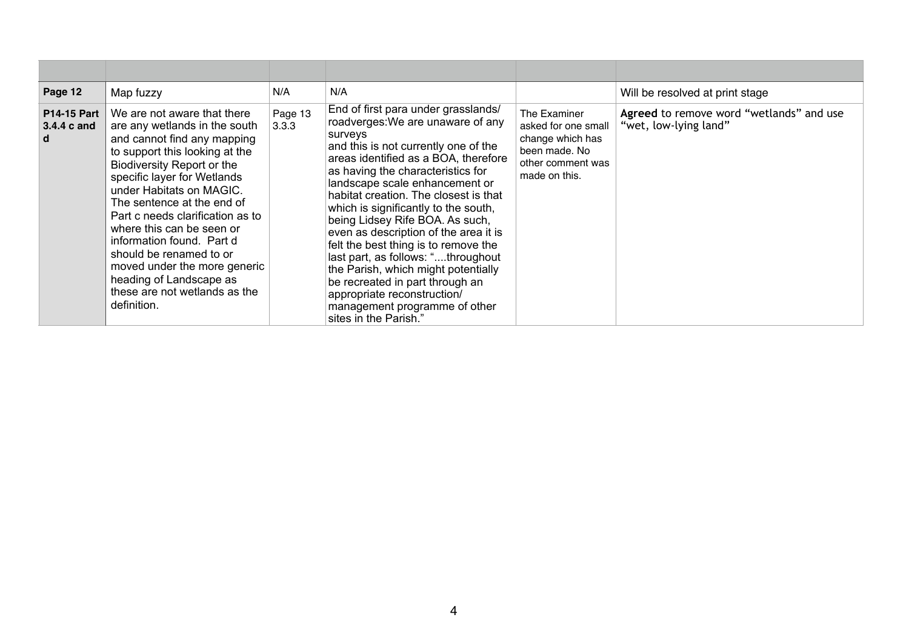| Page 12                                | Map fuzzy                                                                                                                                                                                                                                                                                                                                                                                                                                                                                | N/A              | N/A                                                                                                                                                                                                                                                                                                                                                                                                                                                                                                                                                                                                                                                      |                                                                                                                | Will be resolved at print stage                                   |
|----------------------------------------|------------------------------------------------------------------------------------------------------------------------------------------------------------------------------------------------------------------------------------------------------------------------------------------------------------------------------------------------------------------------------------------------------------------------------------------------------------------------------------------|------------------|----------------------------------------------------------------------------------------------------------------------------------------------------------------------------------------------------------------------------------------------------------------------------------------------------------------------------------------------------------------------------------------------------------------------------------------------------------------------------------------------------------------------------------------------------------------------------------------------------------------------------------------------------------|----------------------------------------------------------------------------------------------------------------|-------------------------------------------------------------------|
| <b>P14-15 Part</b><br>3.4.4 c and<br>d | We are not aware that there<br>are any wetlands in the south<br>and cannot find any mapping<br>to support this looking at the<br>Biodiversity Report or the<br>specific layer for Wetlands<br>under Habitats on MAGIC.<br>The sentence at the end of<br>Part c needs clarification as to<br>where this can be seen or<br>information found. Part d<br>should be renamed to or<br>moved under the more generic<br>heading of Landscape as<br>these are not wetlands as the<br>definition. | Page 13<br>3.3.3 | End of first para under grasslands/<br>roadverges: We are unaware of any<br>surveys<br>and this is not currently one of the<br>areas identified as a BOA, therefore<br>as having the characteristics for<br>landscape scale enhancement or<br>habitat creation. The closest is that<br>which is significantly to the south,<br>being Lidsey Rife BOA. As such,<br>even as description of the area it is<br>felt the best thing is to remove the<br>last part, as follows: "throughout<br>the Parish, which might potentially<br>be recreated in part through an<br>appropriate reconstruction/<br>management programme of other<br>sites in the Parish." | The Examiner<br>asked for one small<br>change which has<br>been made. No<br>other comment was<br>made on this. | Agreed to remove word "wetlands" and use<br>"wet, low-lying land" |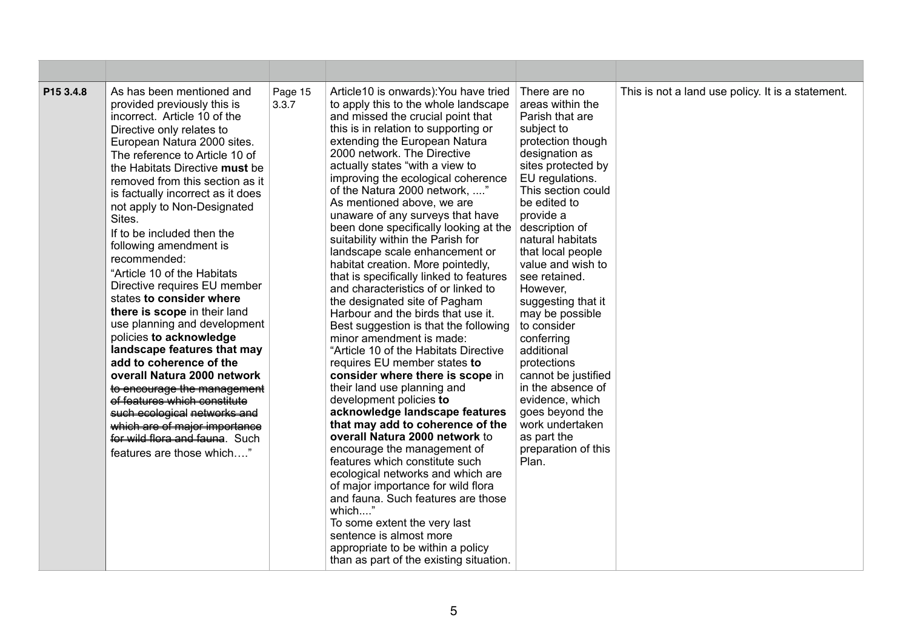| P15 3.4.8 | As has been mentioned and<br>provided previously this is<br>incorrect. Article 10 of the<br>Directive only relates to<br>European Natura 2000 sites.<br>The reference to Article 10 of<br>the Habitats Directive must be<br>removed from this section as it<br>is factually incorrect as it does<br>not apply to Non-Designated<br>Sites.<br>If to be included then the<br>following amendment is<br>recommended:<br>"Article 10 of the Habitats"<br>Directive requires EU member<br>states to consider where<br>there is scope in their land<br>use planning and development<br>policies to acknowledge<br>landscape features that may<br>add to coherence of the<br>overall Natura 2000 network<br>to encourage the management<br>of features which constitute<br>such ecological networks and<br>which are of major importance<br>for wild flora and fauna. Such<br>features are those which" | Page 15<br>3.3.7 | Article10 is onwards): You have tried<br>to apply this to the whole landscape<br>and missed the crucial point that<br>this is in relation to supporting or<br>extending the European Natura<br>2000 network. The Directive<br>actually states "with a view to<br>improving the ecological coherence<br>of the Natura 2000 network, "<br>As mentioned above, we are<br>unaware of any surveys that have<br>been done specifically looking at the<br>suitability within the Parish for<br>landscape scale enhancement or<br>habitat creation. More pointedly,<br>that is specifically linked to features<br>and characteristics of or linked to<br>the designated site of Pagham<br>Harbour and the birds that use it.<br>Best suggestion is that the following<br>minor amendment is made:<br>"Article 10 of the Habitats Directive<br>requires EU member states to<br>consider where there is scope in<br>their land use planning and<br>development policies to<br>acknowledge landscape features<br>that may add to coherence of the<br>overall Natura 2000 network to<br>encourage the management of<br>features which constitute such<br>ecological networks and which are<br>of major importance for wild flora<br>and fauna. Such features are those<br>which'<br>To some extent the very last<br>sentence is almost more<br>appropriate to be within a policy<br>than as part of the existing situation. | There are no<br>areas within the<br>Parish that are<br>subject to<br>protection though<br>designation as<br>sites protected by<br>EU regulations.<br>This section could<br>be edited to<br>provide a<br>description of<br>natural habitats<br>that local people<br>value and wish to<br>see retained.<br>However,<br>suggesting that it<br>may be possible<br>to consider<br>conferring<br>additional<br>protections<br>cannot be justified<br>in the absence of<br>evidence, which<br>goes beyond the<br>work undertaken<br>as part the<br>preparation of this<br>Plan. | This is not a land use policy. It is a statement. |
|-----------|--------------------------------------------------------------------------------------------------------------------------------------------------------------------------------------------------------------------------------------------------------------------------------------------------------------------------------------------------------------------------------------------------------------------------------------------------------------------------------------------------------------------------------------------------------------------------------------------------------------------------------------------------------------------------------------------------------------------------------------------------------------------------------------------------------------------------------------------------------------------------------------------------|------------------|-----------------------------------------------------------------------------------------------------------------------------------------------------------------------------------------------------------------------------------------------------------------------------------------------------------------------------------------------------------------------------------------------------------------------------------------------------------------------------------------------------------------------------------------------------------------------------------------------------------------------------------------------------------------------------------------------------------------------------------------------------------------------------------------------------------------------------------------------------------------------------------------------------------------------------------------------------------------------------------------------------------------------------------------------------------------------------------------------------------------------------------------------------------------------------------------------------------------------------------------------------------------------------------------------------------------------------------------------------------------------------------------------------------------|--------------------------------------------------------------------------------------------------------------------------------------------------------------------------------------------------------------------------------------------------------------------------------------------------------------------------------------------------------------------------------------------------------------------------------------------------------------------------------------------------------------------------------------------------------------------------|---------------------------------------------------|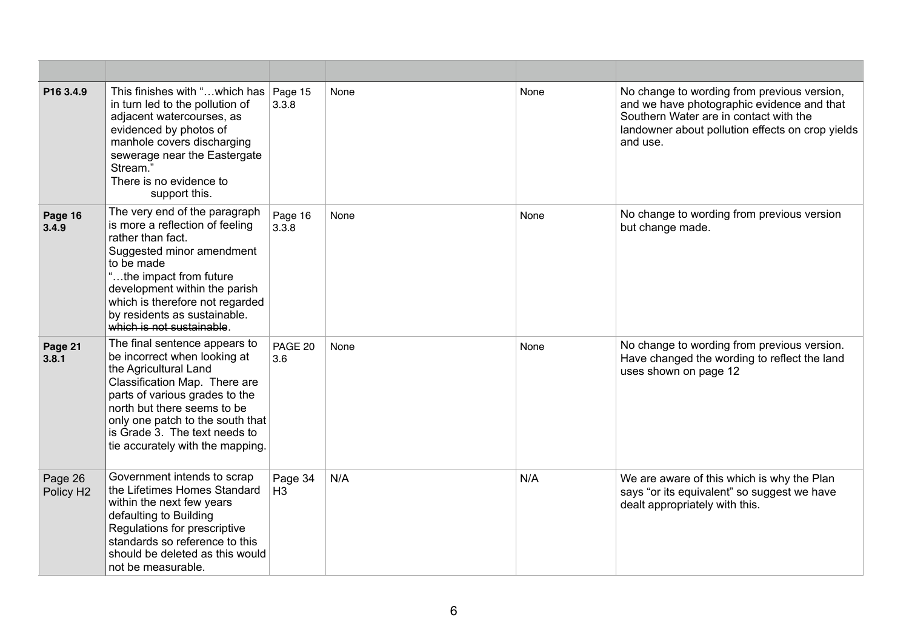| P <sub>16</sub> 3.4.9            | This finishes with "which has   Page 15<br>in turn led to the pollution of<br>adjacent watercourses, as<br>evidenced by photos of<br>manhole covers discharging<br>sewerage near the Eastergate<br>Stream.<br>There is no evidence to<br>support this.                                            | 3.3.8                     | None | None | No change to wording from previous version,<br>and we have photographic evidence and that<br>Southern Water are in contact with the<br>landowner about pollution effects on crop yields<br>and use. |
|----------------------------------|---------------------------------------------------------------------------------------------------------------------------------------------------------------------------------------------------------------------------------------------------------------------------------------------------|---------------------------|------|------|-----------------------------------------------------------------------------------------------------------------------------------------------------------------------------------------------------|
| Page 16<br>3.4.9                 | The very end of the paragraph<br>is more a reflection of feeling<br>rather than fact.<br>Suggested minor amendment<br>to be made<br>"the impact from future<br>development within the parish<br>which is therefore not regarded<br>by residents as sustainable.<br>which is not sustainable.      | Page 16<br>3.3.8          | None | None | No change to wording from previous version<br>but change made.                                                                                                                                      |
| Page 21<br>3.8.1                 | The final sentence appears to<br>be incorrect when looking at<br>the Agricultural Land<br>Classification Map. There are<br>parts of various grades to the<br>north but there seems to be<br>only one patch to the south that<br>is Grade 3. The text needs to<br>tie accurately with the mapping. | PAGE 20<br>3.6            | None | None | No change to wording from previous version.<br>Have changed the wording to reflect the land<br>uses shown on page 12                                                                                |
| Page 26<br>Policy H <sub>2</sub> | Government intends to scrap<br>the Lifetimes Homes Standard<br>within the next few years<br>defaulting to Building<br>Regulations for prescriptive<br>standards so reference to this<br>should be deleted as this would<br>not be measurable.                                                     | Page 34<br>H <sub>3</sub> | N/A  | N/A  | We are aware of this which is why the Plan<br>says "or its equivalent" so suggest we have<br>dealt appropriately with this.                                                                         |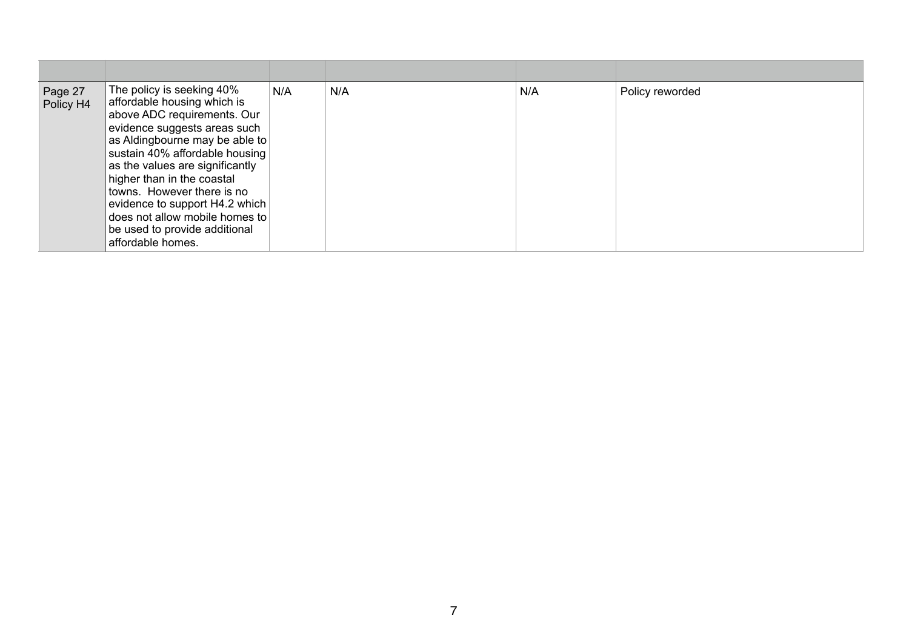| Page 27<br>Policy H4 | The policy is seeking 40%<br>affordable housing which is<br>above ADC requirements. Our<br>evidence suggests areas such<br>as Aldingbourne may be able to<br>sustain 40% affordable housing<br>as the values are significantly<br>higher than in the coastal<br>towns. However there is no<br>evidence to support H4.2 which<br>does not allow mobile homes to<br>be used to provide additional<br>affordable homes. | N/A | N/A | N/A | Policy reworded |
|----------------------|----------------------------------------------------------------------------------------------------------------------------------------------------------------------------------------------------------------------------------------------------------------------------------------------------------------------------------------------------------------------------------------------------------------------|-----|-----|-----|-----------------|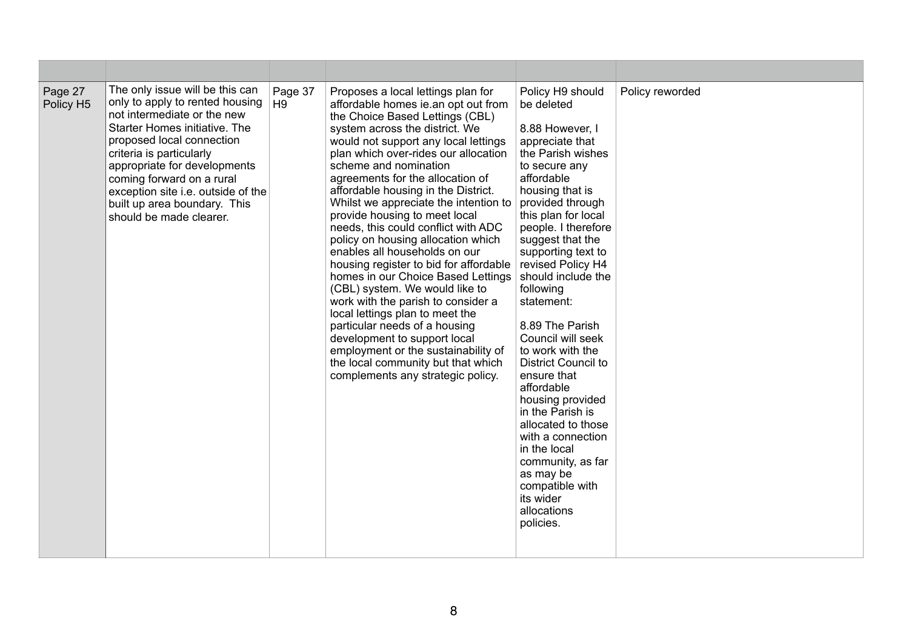| Page 27<br>Policy H5 | The only issue will be this can<br>only to apply to rented housing<br>not intermediate or the new<br>Starter Homes initiative. The<br>proposed local connection<br>criteria is particularly<br>appropriate for developments<br>coming forward on a rural<br>exception site i.e. outside of the<br>built up area boundary. This<br>should be made clearer. | Page 37<br>H9 | Proposes a local lettings plan for<br>affordable homes ie an opt out from<br>the Choice Based Lettings (CBL)<br>system across the district. We<br>would not support any local lettings<br>plan which over-rides our allocation<br>scheme and nomination<br>agreements for the allocation of<br>affordable housing in the District.<br>Whilst we appreciate the intention to<br>provide housing to meet local<br>needs, this could conflict with ADC<br>policy on housing allocation which<br>enables all households on our<br>housing register to bid for affordable<br>homes in our Choice Based Lettings<br>(CBL) system. We would like to<br>work with the parish to consider a<br>local lettings plan to meet the<br>particular needs of a housing<br>development to support local<br>employment or the sustainability of<br>the local community but that which<br>complements any strategic policy. | Policy H9 should<br>be deleted<br>8.88 However, I<br>appreciate that<br>the Parish wishes<br>to secure any<br>affordable<br>housing that is<br>provided through<br>this plan for local<br>people. I therefore<br>suggest that the<br>supporting text to<br>revised Policy H4<br>should include the<br>following<br>statement:<br>8.89 The Parish<br>Council will seek<br>to work with the<br><b>District Council to</b><br>ensure that<br>affordable<br>housing provided<br>in the Parish is<br>allocated to those<br>with a connection<br>in the local<br>community, as far<br>as may be<br>compatible with<br>its wider<br>allocations<br>policies. | Policy reworded |
|----------------------|-----------------------------------------------------------------------------------------------------------------------------------------------------------------------------------------------------------------------------------------------------------------------------------------------------------------------------------------------------------|---------------|----------------------------------------------------------------------------------------------------------------------------------------------------------------------------------------------------------------------------------------------------------------------------------------------------------------------------------------------------------------------------------------------------------------------------------------------------------------------------------------------------------------------------------------------------------------------------------------------------------------------------------------------------------------------------------------------------------------------------------------------------------------------------------------------------------------------------------------------------------------------------------------------------------|-------------------------------------------------------------------------------------------------------------------------------------------------------------------------------------------------------------------------------------------------------------------------------------------------------------------------------------------------------------------------------------------------------------------------------------------------------------------------------------------------------------------------------------------------------------------------------------------------------------------------------------------------------|-----------------|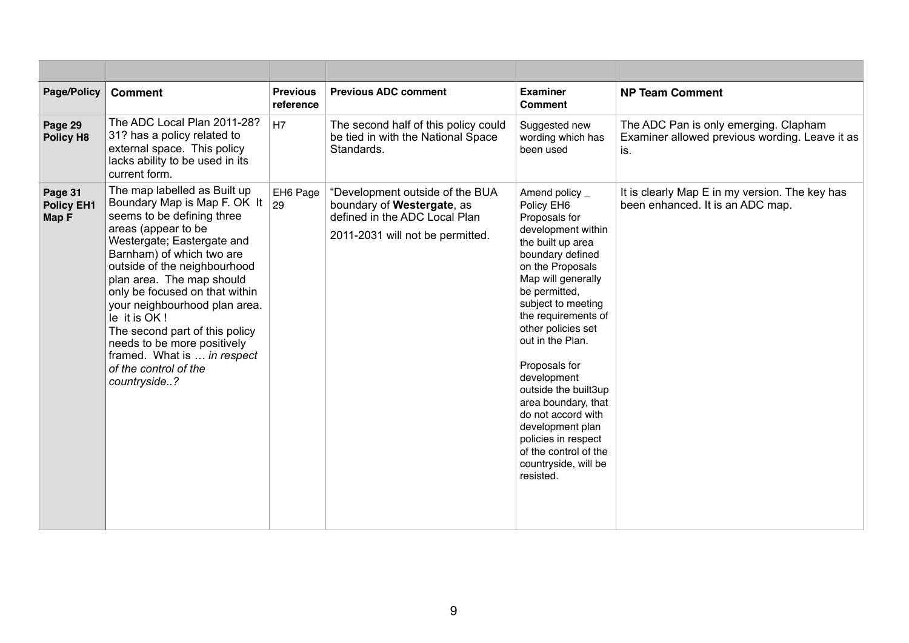| Page/Policy                           | <b>Comment</b>                                                                                                                                                                                                                                                                                                                                                                                                                                                        | <b>Previous</b><br>reference | <b>Previous ADC comment</b>                                                                                                        | <b>Examiner</b><br><b>Comment</b>                                                                                                                                                                                                                                                                                                                                                                                                                                            | <b>NP Team Comment</b>                                                                         |
|---------------------------------------|-----------------------------------------------------------------------------------------------------------------------------------------------------------------------------------------------------------------------------------------------------------------------------------------------------------------------------------------------------------------------------------------------------------------------------------------------------------------------|------------------------------|------------------------------------------------------------------------------------------------------------------------------------|------------------------------------------------------------------------------------------------------------------------------------------------------------------------------------------------------------------------------------------------------------------------------------------------------------------------------------------------------------------------------------------------------------------------------------------------------------------------------|------------------------------------------------------------------------------------------------|
| Page 29<br>Policy H8                  | The ADC Local Plan 2011-28?<br>31? has a policy related to<br>external space. This policy<br>lacks ability to be used in its<br>current form.                                                                                                                                                                                                                                                                                                                         | H7                           | The second half of this policy could<br>be tied in with the National Space<br>Standards.                                           | Suggested new<br>wording which has<br>been used                                                                                                                                                                                                                                                                                                                                                                                                                              | The ADC Pan is only emerging. Clapham<br>Examiner allowed previous wording. Leave it as<br>is. |
| Page 31<br><b>Policy EH1</b><br>Map F | The map labelled as Built up<br>Boundary Map is Map F. OK It<br>seems to be defining three<br>areas (appear to be<br>Westergate; Eastergate and<br>Barnham) of which two are<br>outside of the neighbourhood<br>plan area. The map should<br>only be focused on that within<br>your neighbourhood plan area.<br>le it is OK!<br>The second part of this policy<br>needs to be more positively<br>framed. What is  in respect<br>of the control of the<br>countryside? | EH6 Page<br>29               | "Development outside of the BUA<br>boundary of Westergate, as<br>defined in the ADC Local Plan<br>2011-2031 will not be permitted. | Amend policy _<br>Policy EH6<br>Proposals for<br>development within<br>the built up area<br>boundary defined<br>on the Proposals<br>Map will generally<br>be permitted,<br>subject to meeting<br>the requirements of<br>other policies set<br>out in the Plan.<br>Proposals for<br>development<br>outside the built3up<br>area boundary, that<br>do not accord with<br>development plan<br>policies in respect<br>of the control of the<br>countryside, will be<br>resisted. | It is clearly Map E in my version. The key has<br>been enhanced. It is an ADC map.             |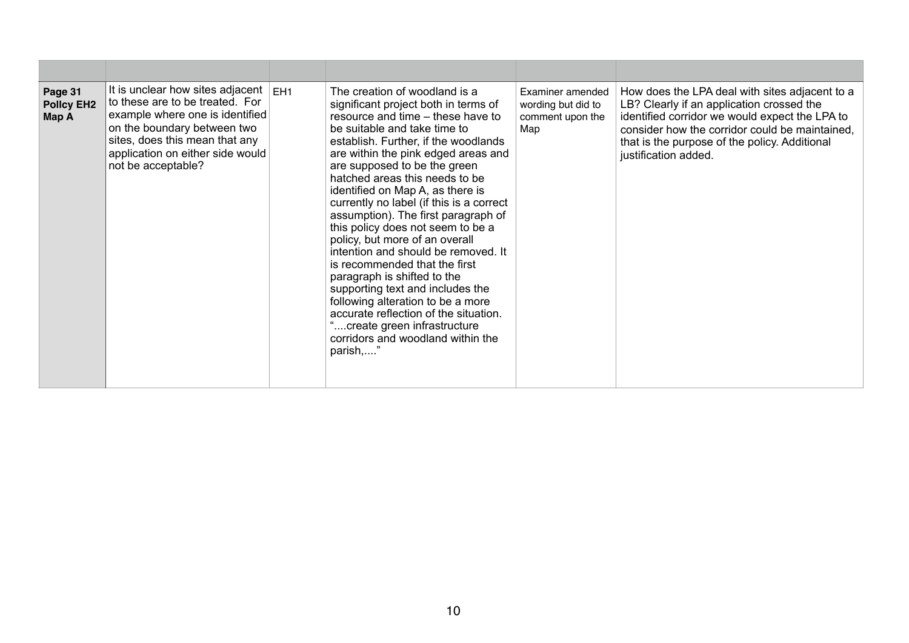| Page 31<br><b>Policy EH2</b><br>Map A | It is unclear how sites adjacent<br>to these are to be treated. For<br>example where one is identified<br>on the boundary between two<br>sites, does this mean that any<br>application on either side would<br>not be acceptable? | EH <sub>1</sub> | The creation of woodland is a<br>significant project both in terms of<br>resource and time – these have to<br>be suitable and take time to<br>establish. Further, if the woodlands<br>are within the pink edged areas and<br>are supposed to be the green<br>hatched areas this needs to be<br>identified on Map A, as there is<br>currently no label (if this is a correct<br>assumption). The first paragraph of<br>this policy does not seem to be a<br>policy, but more of an overall<br>intention and should be removed. It<br>is recommended that the first<br>paragraph is shifted to the<br>supporting text and includes the<br>following alteration to be a more<br>accurate reflection of the situation.<br>create green infrastructure<br>corridors and woodland within the<br>parish," | Examiner amended<br>wording but did to<br>comment upon the<br>Map | How does the LPA deal with sites adjacent to a<br>LB? Clearly if an application crossed the<br>identified corridor we would expect the LPA to<br>consider how the corridor could be maintained,<br>that is the purpose of the policy. Additional<br>justification added. |
|---------------------------------------|-----------------------------------------------------------------------------------------------------------------------------------------------------------------------------------------------------------------------------------|-----------------|----------------------------------------------------------------------------------------------------------------------------------------------------------------------------------------------------------------------------------------------------------------------------------------------------------------------------------------------------------------------------------------------------------------------------------------------------------------------------------------------------------------------------------------------------------------------------------------------------------------------------------------------------------------------------------------------------------------------------------------------------------------------------------------------------|-------------------------------------------------------------------|--------------------------------------------------------------------------------------------------------------------------------------------------------------------------------------------------------------------------------------------------------------------------|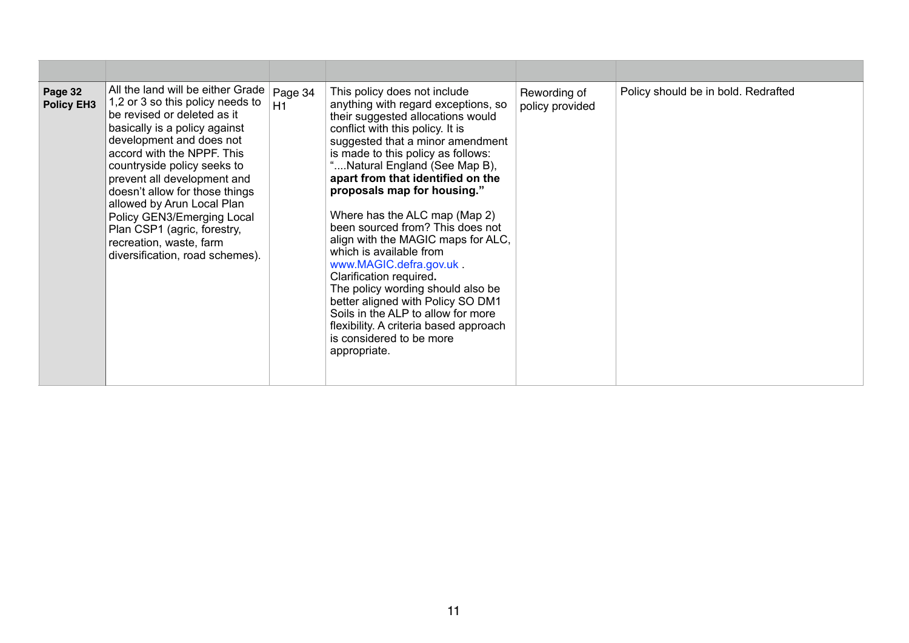| Page 32<br><b>Policy EH3</b> | All the land will be either Grade $ $ Page 34<br>1,2 or 3 so this policy needs to<br>H1<br>be revised or deleted as it<br>basically is a policy against<br>development and does not<br>accord with the NPPF. This<br>countryside policy seeks to<br>prevent all development and<br>doesn't allow for those things<br>allowed by Arun Local Plan<br>Policy GEN3/Emerging Local<br>Plan CSP1 (agric, forestry,<br>recreation, waste, farm<br>diversification, road schemes). | This policy does not include<br>anything with regard exceptions, so<br>their suggested allocations would<br>conflict with this policy. It is<br>suggested that a minor amendment<br>is made to this policy as follows:<br>Natural England (See Map B),<br>apart from that identified on the<br>proposals map for housing."<br>Where has the ALC map (Map 2)<br>been sourced from? This does not<br>align with the MAGIC maps for ALC,<br>which is available from<br>www.MAGIC.defra.gov.uk<br>Clarification required.<br>The policy wording should also be<br>better aligned with Policy SO DM1<br>Soils in the ALP to allow for more<br>flexibility. A criteria based approach<br>is considered to be more<br>appropriate. | Rewording of<br>policy provided | Policy should be in bold. Redrafted |
|------------------------------|----------------------------------------------------------------------------------------------------------------------------------------------------------------------------------------------------------------------------------------------------------------------------------------------------------------------------------------------------------------------------------------------------------------------------------------------------------------------------|-----------------------------------------------------------------------------------------------------------------------------------------------------------------------------------------------------------------------------------------------------------------------------------------------------------------------------------------------------------------------------------------------------------------------------------------------------------------------------------------------------------------------------------------------------------------------------------------------------------------------------------------------------------------------------------------------------------------------------|---------------------------------|-------------------------------------|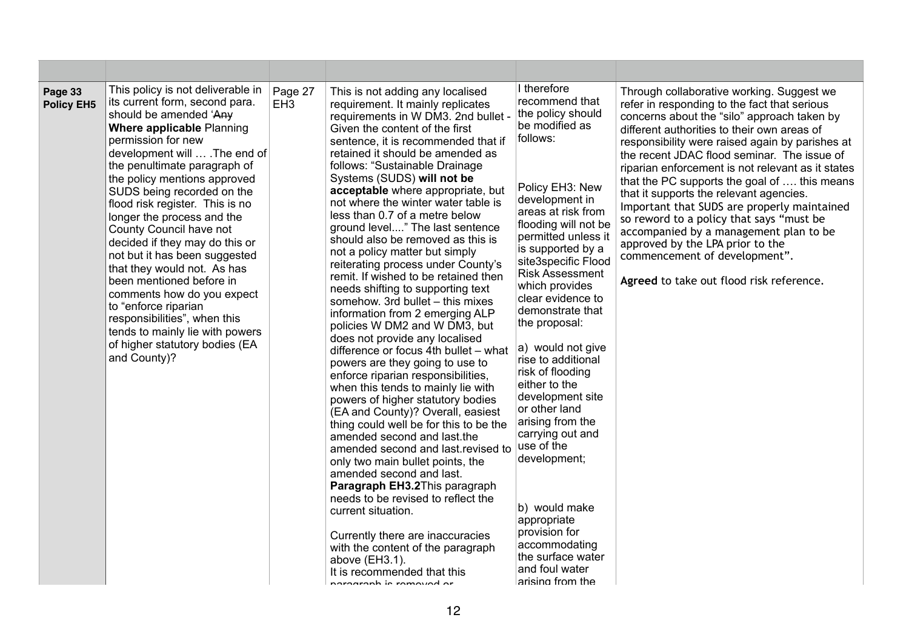| Page 33<br><b>Policy EH5</b> | This policy is not deliverable in<br>its current form, second para.<br>should be amended 'Any<br>Where applicable Planning<br>permission for new<br>development will  . The end of<br>the penultimate paragraph of<br>the policy mentions approved<br>SUDS being recorded on the<br>flood risk register. This is no<br>longer the process and the<br>County Council have not<br>decided if they may do this or<br>not but it has been suggested<br>that they would not. As has<br>been mentioned before in<br>comments how do you expect<br>to "enforce riparian<br>responsibilities", when this<br>tends to mainly lie with powers<br>of higher statutory bodies (EA<br>and County)? | Page 27<br>EH <sub>3</sub> | This is not adding any localised<br>requirement. It mainly replicates<br>requirements in W DM3. 2nd bullet -<br>Given the content of the first<br>sentence, it is recommended that if<br>retained it should be amended as<br>follows: "Sustainable Drainage<br>Systems (SUDS) will not be<br>acceptable where appropriate, but<br>not where the winter water table is<br>less than 0.7 of a metre below<br>ground level" The last sentence<br>should also be removed as this is<br>not a policy matter but simply<br>reiterating process under County's<br>remit. If wished to be retained then<br>needs shifting to supporting text<br>somehow. 3rd bullet - this mixes<br>information from 2 emerging ALP<br>policies W DM2 and W DM3, but<br>does not provide any localised<br>difference or focus 4th bullet - what<br>powers are they going to use to<br>enforce riparian responsibilities,<br>when this tends to mainly lie with<br>powers of higher statutory bodies<br>(EA and County)? Overall, easiest<br>thing could well be for this to be the<br>amended second and last the<br>amended second and last revised to<br>only two main bullet points, the<br>amended second and last.<br>Paragraph EH3.2This paragraph<br>needs to be revised to reflect the<br>current situation.<br>Currently there are inaccuracies<br>with the content of the paragraph<br>above (EH3.1).<br>It is recommended that this<br>norograph is romaved or | I therefore<br>recommend that<br>the policy should<br>be modified as<br>follows:<br>Policy EH3: New<br>development in<br>areas at risk from<br>flooding will not be<br>permitted unless it<br>is supported by a<br>site3specific Flood<br><b>Risk Assessment</b><br>which provides<br>clear evidence to<br>demonstrate that<br>the proposal:<br>a) would not give<br>rise to additional<br>risk of flooding<br>either to the<br>development site<br>or other land<br>arising from the<br>carrying out and<br>use of the<br>development;<br>b) would make<br>appropriate<br>provision for<br>accommodating<br>the surface water<br>and foul water<br>arising from the | Through collaborative working. Suggest we<br>refer in responding to the fact that serious<br>concerns about the "silo" approach taken by<br>different authorities to their own areas of<br>responsibility were raised again by parishes at<br>the recent JDAC flood seminar. The issue of<br>riparian enforcement is not relevant as it states<br>that the PC supports the goal of  this means<br>that it supports the relevant agencies.<br>Important that SUDS are properly maintained<br>so reword to a policy that says "must be<br>accompanied by a management plan to be<br>approved by the LPA prior to the<br>commencement of development".<br>Agreed to take out flood risk reference. |
|------------------------------|---------------------------------------------------------------------------------------------------------------------------------------------------------------------------------------------------------------------------------------------------------------------------------------------------------------------------------------------------------------------------------------------------------------------------------------------------------------------------------------------------------------------------------------------------------------------------------------------------------------------------------------------------------------------------------------|----------------------------|---------------------------------------------------------------------------------------------------------------------------------------------------------------------------------------------------------------------------------------------------------------------------------------------------------------------------------------------------------------------------------------------------------------------------------------------------------------------------------------------------------------------------------------------------------------------------------------------------------------------------------------------------------------------------------------------------------------------------------------------------------------------------------------------------------------------------------------------------------------------------------------------------------------------------------------------------------------------------------------------------------------------------------------------------------------------------------------------------------------------------------------------------------------------------------------------------------------------------------------------------------------------------------------------------------------------------------------------------------------------------------------------------------------------------------------------------|----------------------------------------------------------------------------------------------------------------------------------------------------------------------------------------------------------------------------------------------------------------------------------------------------------------------------------------------------------------------------------------------------------------------------------------------------------------------------------------------------------------------------------------------------------------------------------------------------------------------------------------------------------------------|-------------------------------------------------------------------------------------------------------------------------------------------------------------------------------------------------------------------------------------------------------------------------------------------------------------------------------------------------------------------------------------------------------------------------------------------------------------------------------------------------------------------------------------------------------------------------------------------------------------------------------------------------------------------------------------------------|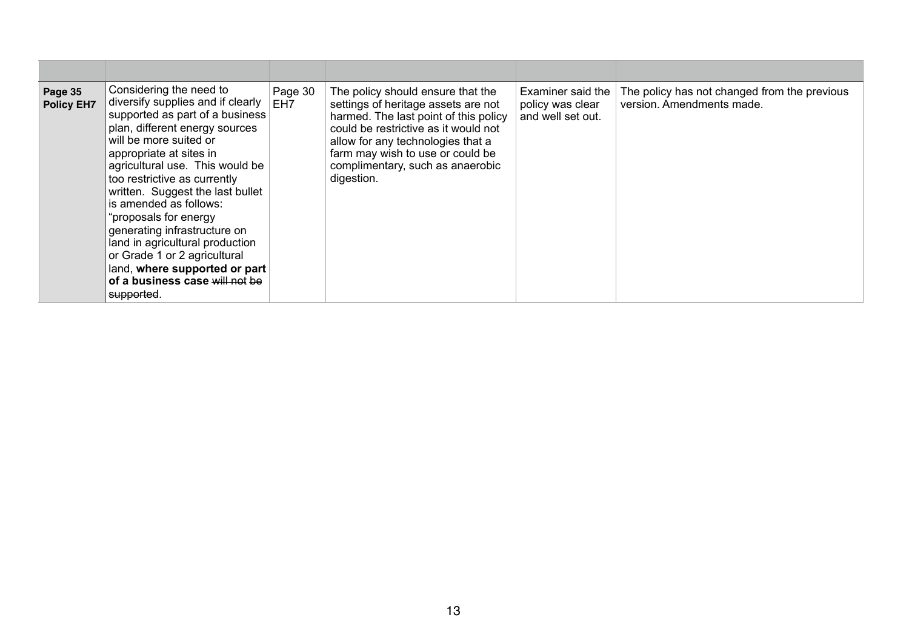| Page 35<br><b>Policy EH7</b> | Considering the need to<br>diversify supplies and if clearly<br>supported as part of a business<br>plan, different energy sources<br>will be more suited or<br>appropriate at sites in<br>agricultural use. This would be<br>too restrictive as currently<br>written. Suggest the last bullet<br>is amended as follows:<br>"proposals for energy<br>generating infrastructure on<br>land in agricultural production<br>or Grade 1 or 2 agricultural<br>land, where supported or part<br>of a business case will not be<br>supported. | Page 30<br>EH <sub>7</sub> | The policy should ensure that the<br>settings of heritage assets are not<br>harmed. The last point of this policy<br>could be restrictive as it would not<br>allow for any technologies that a<br>farm may wish to use or could be<br>complimentary, such as anaerobic<br>digestion. | Examiner said the<br>policy was clear<br>and well set out. | The policy has not changed from the previous<br>version. Amendments made. |
|------------------------------|--------------------------------------------------------------------------------------------------------------------------------------------------------------------------------------------------------------------------------------------------------------------------------------------------------------------------------------------------------------------------------------------------------------------------------------------------------------------------------------------------------------------------------------|----------------------------|--------------------------------------------------------------------------------------------------------------------------------------------------------------------------------------------------------------------------------------------------------------------------------------|------------------------------------------------------------|---------------------------------------------------------------------------|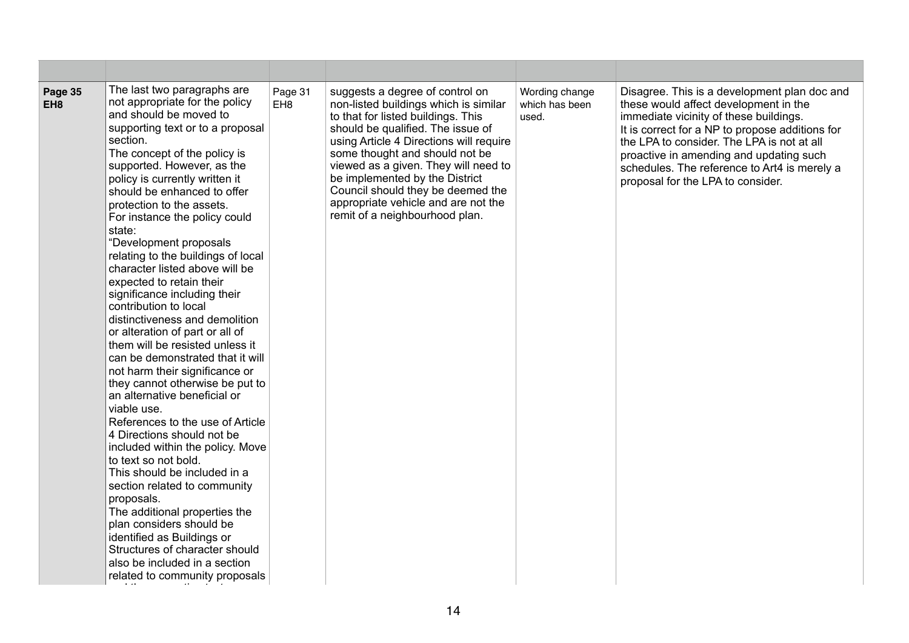| Page 35<br>EH <sub>8</sub> | The last two paragraphs are<br>not appropriate for the policy<br>and should be moved to<br>supporting text or to a proposal<br>section.<br>The concept of the policy is<br>supported. However, as the<br>policy is currently written it<br>should be enhanced to offer<br>protection to the assets.<br>For instance the policy could<br>state:<br>"Development proposals<br>relating to the buildings of local<br>character listed above will be<br>expected to retain their<br>significance including their<br>contribution to local<br>distinctiveness and demolition<br>or alteration of part or all of<br>them will be resisted unless it<br>can be demonstrated that it will<br>not harm their significance or<br>they cannot otherwise be put to<br>an alternative beneficial or<br>viable use.<br>References to the use of Article<br>4 Directions should not be<br>included within the policy. Move<br>to text so not bold.<br>This should be included in a<br>section related to community<br>proposals.<br>The additional properties the<br>plan considers should be<br>identified as Buildings or<br>Structures of character should<br>also be included in a section<br>related to community proposals | Page 31<br>EH <sub>8</sub> | suggests a degree of control on<br>non-listed buildings which is similar<br>to that for listed buildings. This<br>should be qualified. The issue of<br>using Article 4 Directions will require<br>some thought and should not be<br>viewed as a given. They will need to<br>be implemented by the District<br>Council should they be deemed the<br>appropriate vehicle and are not the<br>remit of a neighbourhood plan. | Wording change<br>which has been<br>used. | Disagree. This is a development plan doc and<br>these would affect development in the<br>immediate vicinity of these buildings.<br>It is correct for a NP to propose additions for<br>the LPA to consider. The LPA is not at all<br>proactive in amending and updating such<br>schedules. The reference to Art4 is merely a<br>proposal for the LPA to consider. |
|----------------------------|-------------------------------------------------------------------------------------------------------------------------------------------------------------------------------------------------------------------------------------------------------------------------------------------------------------------------------------------------------------------------------------------------------------------------------------------------------------------------------------------------------------------------------------------------------------------------------------------------------------------------------------------------------------------------------------------------------------------------------------------------------------------------------------------------------------------------------------------------------------------------------------------------------------------------------------------------------------------------------------------------------------------------------------------------------------------------------------------------------------------------------------------------------------------------------------------------------------------|----------------------------|--------------------------------------------------------------------------------------------------------------------------------------------------------------------------------------------------------------------------------------------------------------------------------------------------------------------------------------------------------------------------------------------------------------------------|-------------------------------------------|------------------------------------------------------------------------------------------------------------------------------------------------------------------------------------------------------------------------------------------------------------------------------------------------------------------------------------------------------------------|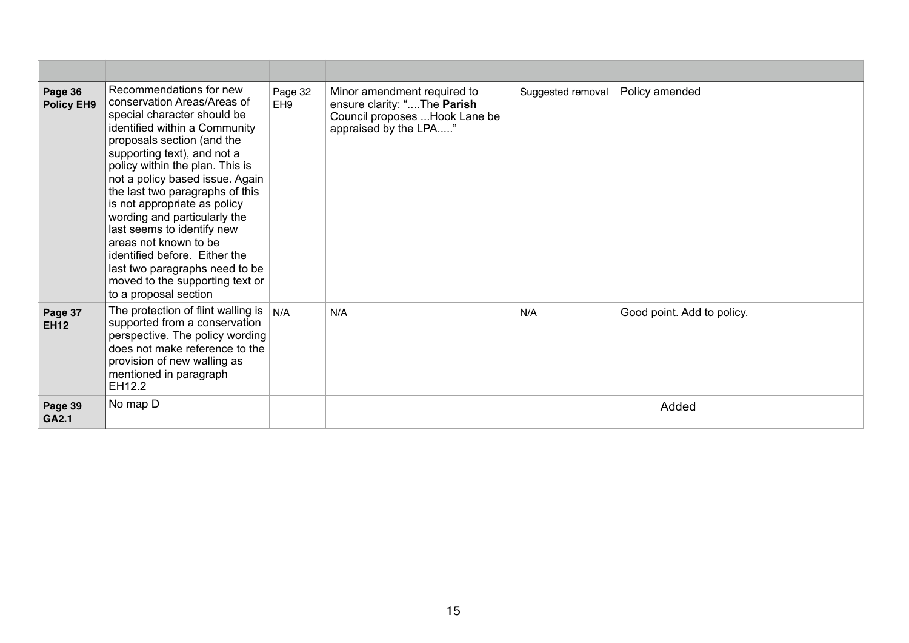| Page 36<br><b>Policy EH9</b> | Recommendations for new<br>conservation Areas/Areas of<br>special character should be<br>identified within a Community<br>proposals section (and the<br>supporting text), and not a<br>policy within the plan. This is<br>not a policy based issue. Again<br>the last two paragraphs of this<br>is not appropriate as policy<br>wording and particularly the<br>last seems to identify new<br>areas not known to be<br>identified before. Either the<br>last two paragraphs need to be<br>moved to the supporting text or<br>to a proposal section | Page 32<br>EH <sub>9</sub> | Minor amendment required to<br>ensure clarity: "The Parish<br>Council proposes  Hook Lane be<br>appraised by the LPA" | Suggested removal | Policy amended             |
|------------------------------|----------------------------------------------------------------------------------------------------------------------------------------------------------------------------------------------------------------------------------------------------------------------------------------------------------------------------------------------------------------------------------------------------------------------------------------------------------------------------------------------------------------------------------------------------|----------------------------|-----------------------------------------------------------------------------------------------------------------------|-------------------|----------------------------|
| Page 37<br><b>EH12</b>       | The protection of flint walling is<br>supported from a conservation<br>perspective. The policy wording<br>does not make reference to the<br>provision of new walling as<br>mentioned in paragraph<br>EH12.2                                                                                                                                                                                                                                                                                                                                        | N/A                        | N/A                                                                                                                   | N/A               | Good point. Add to policy. |
| Page 39<br>GA2.1             | No map D                                                                                                                                                                                                                                                                                                                                                                                                                                                                                                                                           |                            |                                                                                                                       |                   | Added                      |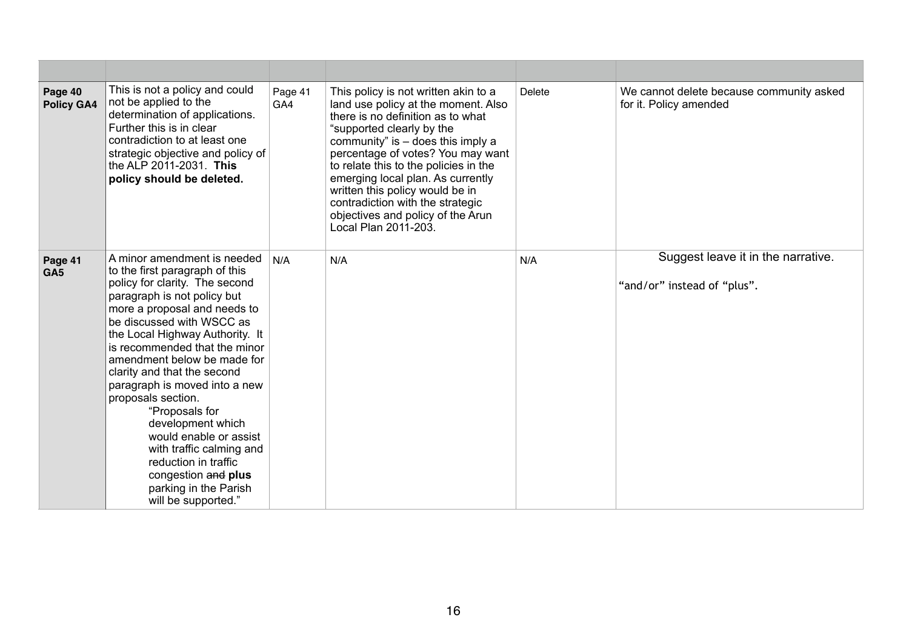| Page 40<br><b>Policy GA4</b> | This is not a policy and could<br>not be applied to the<br>determination of applications.<br>Further this is in clear<br>contradiction to at least one<br>strategic objective and policy of<br>the ALP 2011-2031. This<br>policy should be deleted.                                                                                                                                                                                                                                                                                                                              | Page 41<br>GA4 | This policy is not written akin to a<br>land use policy at the moment. Also<br>there is no definition as to what<br>"supported clearly by the<br>community" is $-$ does this imply a<br>percentage of votes? You may want<br>to relate this to the policies in the<br>emerging local plan. As currently<br>written this policy would be in<br>contradiction with the strategic<br>objectives and policy of the Arun<br>Local Plan 2011-203. | <b>Delete</b> | We cannot delete because community asked<br>for it. Policy amended |
|------------------------------|----------------------------------------------------------------------------------------------------------------------------------------------------------------------------------------------------------------------------------------------------------------------------------------------------------------------------------------------------------------------------------------------------------------------------------------------------------------------------------------------------------------------------------------------------------------------------------|----------------|---------------------------------------------------------------------------------------------------------------------------------------------------------------------------------------------------------------------------------------------------------------------------------------------------------------------------------------------------------------------------------------------------------------------------------------------|---------------|--------------------------------------------------------------------|
| Page 41<br>GA <sub>5</sub>   | A minor amendment is needed<br>to the first paragraph of this<br>policy for clarity. The second<br>paragraph is not policy but<br>more a proposal and needs to<br>be discussed with WSCC as<br>the Local Highway Authority. It<br>is recommended that the minor<br>amendment below be made for<br>clarity and that the second<br>paragraph is moved into a new<br>proposals section.<br>"Proposals for<br>development which<br>would enable or assist<br>with traffic calming and<br>reduction in traffic<br>congestion and plus<br>parking in the Parish<br>will be supported." | N/A            | N/A                                                                                                                                                                                                                                                                                                                                                                                                                                         | N/A           | Suggest leave it in the narrative.<br>"and/or" instead of "plus".  |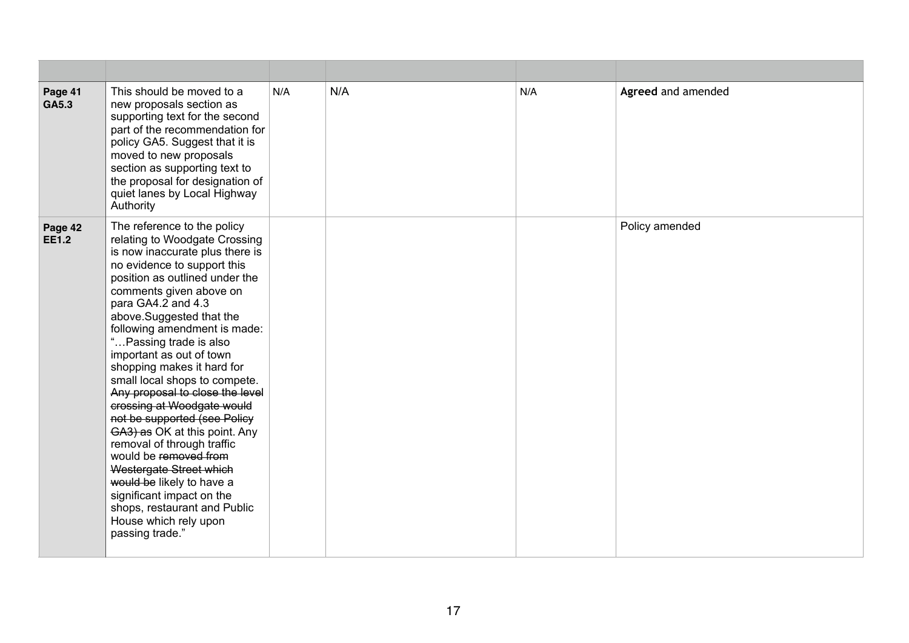| Page 41<br>GA5.3        | This should be moved to a<br>new proposals section as<br>supporting text for the second<br>part of the recommendation for<br>policy GA5. Suggest that it is<br>moved to new proposals<br>section as supporting text to<br>the proposal for designation of<br>quiet lanes by Local Highway<br>Authority                                                                                                                                                                                                                                                                                                                                                                                                                                                       | N/A | N/A | N/A | Agreed and amended |
|-------------------------|--------------------------------------------------------------------------------------------------------------------------------------------------------------------------------------------------------------------------------------------------------------------------------------------------------------------------------------------------------------------------------------------------------------------------------------------------------------------------------------------------------------------------------------------------------------------------------------------------------------------------------------------------------------------------------------------------------------------------------------------------------------|-----|-----|-----|--------------------|
| Page 42<br><b>EE1.2</b> | The reference to the policy<br>relating to Woodgate Crossing<br>is now inaccurate plus there is<br>no evidence to support this<br>position as outlined under the<br>comments given above on<br>para GA4.2 and 4.3<br>above.Suggested that the<br>following amendment is made:<br>"Passing trade is also<br>important as out of town<br>shopping makes it hard for<br>small local shops to compete.<br>Any proposal to close the level<br>crossing at Woodgate would<br>not be supported (see Policy<br>GA3) as OK at this point. Any<br>removal of through traffic<br>would be removed from<br>Westergate Street which<br>would be likely to have a<br>significant impact on the<br>shops, restaurant and Public<br>House which rely upon<br>passing trade." |     |     |     | Policy amended     |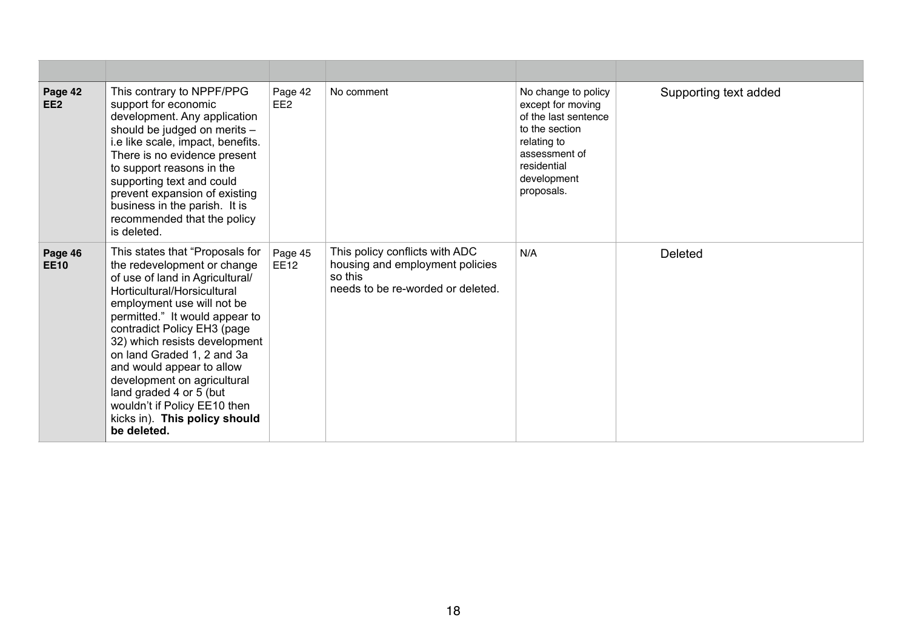| Page 42<br>EE <sub>2</sub> | This contrary to NPPF/PPG<br>support for economic<br>development. Any application<br>should be judged on merits -<br>e like scale, impact, benefits.<br>There is no evidence present<br>to support reasons in the<br>supporting text and could<br>prevent expansion of existing<br>business in the parish. It is<br>recommended that the policy<br>is deleted.                                                                                                        | Page 42<br>EE <sub>2</sub> | No comment                                                                                                        | No change to policy<br>except for moving<br>of the last sentence<br>to the section<br>relating to<br>assessment of<br>residential<br>development<br>proposals. | Supporting text added |
|----------------------------|-----------------------------------------------------------------------------------------------------------------------------------------------------------------------------------------------------------------------------------------------------------------------------------------------------------------------------------------------------------------------------------------------------------------------------------------------------------------------|----------------------------|-------------------------------------------------------------------------------------------------------------------|----------------------------------------------------------------------------------------------------------------------------------------------------------------|-----------------------|
| Page 46<br><b>EE10</b>     | This states that "Proposals for<br>the redevelopment or change<br>of use of land in Agricultural/<br>Horticultural/Horsicultural<br>employment use will not be<br>permitted." It would appear to<br>contradict Policy EH3 (page<br>32) which resists development<br>on land Graded 1, 2 and 3a<br>and would appear to allow<br>development on agricultural<br>land graded 4 or 5 (but<br>wouldn't if Policy EE10 then<br>kicks in). This policy should<br>be deleted. | Page 45<br><b>EE12</b>     | This policy conflicts with ADC<br>housing and employment policies<br>so this<br>needs to be re-worded or deleted. | N/A                                                                                                                                                            | <b>Deleted</b>        |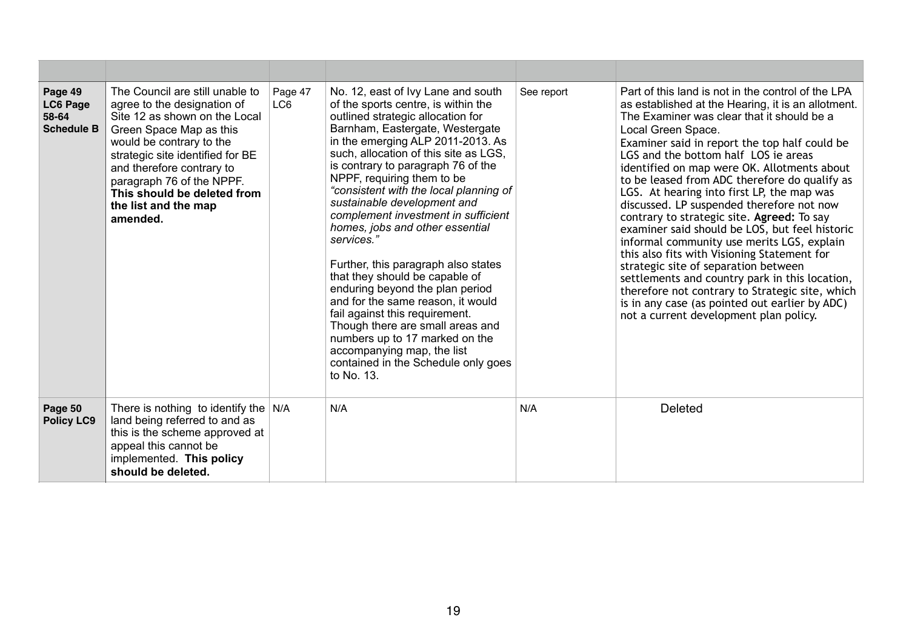| Page 49<br><b>LC6 Page</b><br>58-64<br><b>Schedule B</b> | The Council are still unable to<br>agree to the designation of<br>Site 12 as shown on the Local<br>Green Space Map as this<br>would be contrary to the<br>strategic site identified for BE<br>and therefore contrary to<br>paragraph 76 of the NPPF.<br>This should be deleted from<br>the list and the map<br>amended. | Page 47<br>LC6 | No. 12, east of Ivy Lane and south<br>of the sports centre, is within the<br>outlined strategic allocation for<br>Barnham, Eastergate, Westergate<br>in the emerging ALP 2011-2013. As<br>such, allocation of this site as LGS,<br>is contrary to paragraph 76 of the<br>NPPF, requiring them to be<br>"consistent with the local planning of<br>sustainable development and<br>complement investment in sufficient<br>homes, jobs and other essential<br>services."<br>Further, this paragraph also states<br>that they should be capable of<br>enduring beyond the plan period<br>and for the same reason, it would<br>fail against this requirement.<br>Though there are small areas and<br>numbers up to 17 marked on the<br>accompanying map, the list<br>contained in the Schedule only goes<br>to No. 13. | See report | Part of this land is not in the control of the LPA<br>as established at the Hearing, it is an allotment.<br>The Examiner was clear that it should be a<br>Local Green Space.<br>Examiner said in report the top half could be<br>LGS and the bottom half LOS ie areas<br>identified on map were OK. Allotments about<br>to be leased from ADC therefore do qualify as<br>LGS. At hearing into first LP, the map was<br>discussed. LP suspended therefore not now<br>contrary to strategic site. Agreed: To say<br>examiner said should be LOS, but feel historic<br>informal community use merits LGS, explain<br>this also fits with Visioning Statement for<br>strategic site of separation between<br>settlements and country park in this location,<br>therefore not contrary to Strategic site, which<br>is in any case (as pointed out earlier by ADC)<br>not a current development plan policy. |
|----------------------------------------------------------|-------------------------------------------------------------------------------------------------------------------------------------------------------------------------------------------------------------------------------------------------------------------------------------------------------------------------|----------------|------------------------------------------------------------------------------------------------------------------------------------------------------------------------------------------------------------------------------------------------------------------------------------------------------------------------------------------------------------------------------------------------------------------------------------------------------------------------------------------------------------------------------------------------------------------------------------------------------------------------------------------------------------------------------------------------------------------------------------------------------------------------------------------------------------------|------------|--------------------------------------------------------------------------------------------------------------------------------------------------------------------------------------------------------------------------------------------------------------------------------------------------------------------------------------------------------------------------------------------------------------------------------------------------------------------------------------------------------------------------------------------------------------------------------------------------------------------------------------------------------------------------------------------------------------------------------------------------------------------------------------------------------------------------------------------------------------------------------------------------------|
| Page 50<br><b>Policy LC9</b>                             | There is nothing to identify the $N/A$<br>land being referred to and as<br>this is the scheme approved at<br>appeal this cannot be<br>implemented. This policy<br>should be deleted.                                                                                                                                    |                | N/A                                                                                                                                                                                                                                                                                                                                                                                                                                                                                                                                                                                                                                                                                                                                                                                                              | N/A        | <b>Deleted</b>                                                                                                                                                                                                                                                                                                                                                                                                                                                                                                                                                                                                                                                                                                                                                                                                                                                                                         |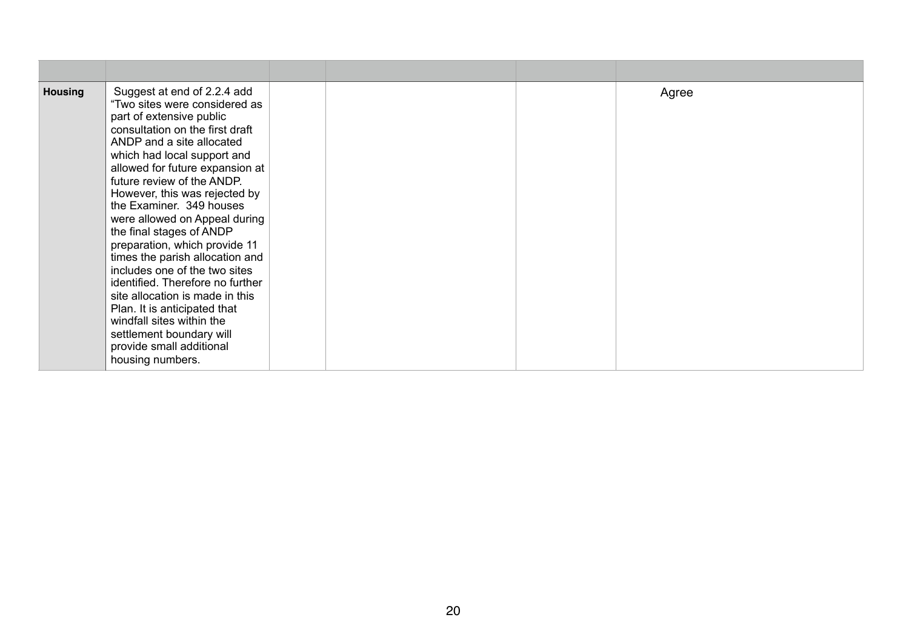| <b>Housing</b> | Suggest at end of 2.2.4 add<br>"Two sites were considered as<br>part of extensive public<br>consultation on the first draft<br>ANDP and a site allocated<br>which had local support and<br>allowed for future expansion at<br>future review of the ANDP.<br>However, this was rejected by<br>the Examiner. 349 houses<br>were allowed on Appeal during<br>the final stages of ANDP<br>preparation, which provide 11<br>times the parish allocation and<br>includes one of the two sites<br>identified. Therefore no further<br>site allocation is made in this<br>Plan. It is anticipated that<br>windfall sites within the<br>settlement boundary will<br>provide small additional<br>housing numbers. |  | Agree |
|----------------|---------------------------------------------------------------------------------------------------------------------------------------------------------------------------------------------------------------------------------------------------------------------------------------------------------------------------------------------------------------------------------------------------------------------------------------------------------------------------------------------------------------------------------------------------------------------------------------------------------------------------------------------------------------------------------------------------------|--|-------|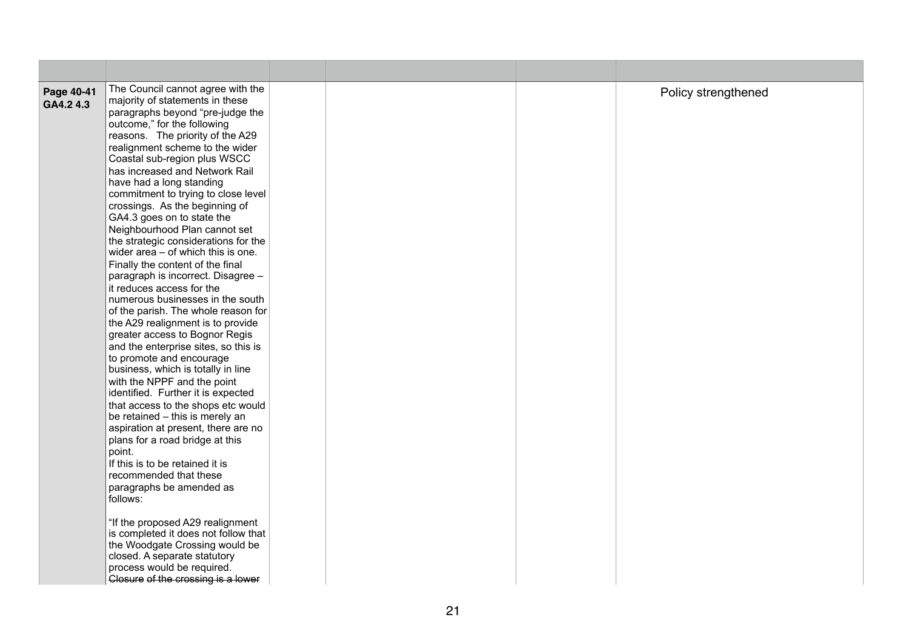| Page 40-41<br>GA4.2 4.3 | The Council cannot agree with the<br>majority of statements in these<br>paragraphs beyond "pre-judge the<br>outcome," for the following<br>reasons. The priority of the A29<br>realignment scheme to the wider<br>Coastal sub-region plus WSCC<br>has increased and Network Rail<br>have had a long standing<br>commitment to trying to close level<br>crossings. As the beginning of<br>GA4.3 goes on to state the<br>Neighbourhood Plan cannot set<br>the strategic considerations for the<br>wider area - of which this is one.<br>Finally the content of the final<br>paragraph is incorrect. Disagree -<br>it reduces access for the<br>numerous businesses in the south<br>of the parish. The whole reason for<br>the A29 realignment is to provide<br>greater access to Bognor Regis<br>and the enterprise sites, so this is<br>to promote and encourage<br>business, which is totally in line<br>with the NPPF and the point<br>identified. Further it is expected<br>that access to the shops etc would<br>be retained - this is merely an<br>aspiration at present, there are no<br>plans for a road bridge at this<br>point.<br>If this is to be retained it is<br>recommended that these<br>paragraphs be amended as<br>follows:<br>"If the proposed A29 realignment<br>is completed it does not follow that<br>the Woodgate Crossing would be<br>closed. A separate statutory<br>process would be required.<br>Closure of the crossing is a lower |  | Policy strengthened |
|-------------------------|----------------------------------------------------------------------------------------------------------------------------------------------------------------------------------------------------------------------------------------------------------------------------------------------------------------------------------------------------------------------------------------------------------------------------------------------------------------------------------------------------------------------------------------------------------------------------------------------------------------------------------------------------------------------------------------------------------------------------------------------------------------------------------------------------------------------------------------------------------------------------------------------------------------------------------------------------------------------------------------------------------------------------------------------------------------------------------------------------------------------------------------------------------------------------------------------------------------------------------------------------------------------------------------------------------------------------------------------------------------------------------------------------------------------------------------------------------------|--|---------------------|